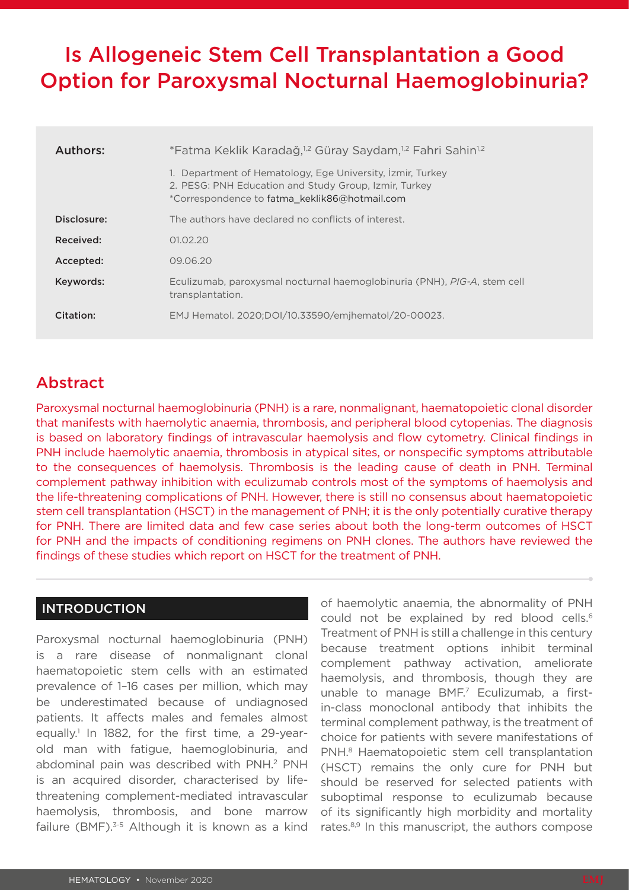# Is Allogeneic Stem Cell Transplantation a Good Option for Paroxysmal Nocturnal Haemoglobinuria?

| Authors:    | *Fatma Keklik Karadağ, <sup>1,2</sup> Güray Saydam, <sup>1,2</sup> Fahri Sahin <sup>1,2</sup><br>1. Department of Hematology, Ege University, İzmir, Turkey<br>2. PESG: PNH Education and Study Group, Izmir, Turkey<br>*Correspondence to fatma keklik86@hotmail.com |
|-------------|-----------------------------------------------------------------------------------------------------------------------------------------------------------------------------------------------------------------------------------------------------------------------|
| Disclosure: | The authors have declared no conflicts of interest.                                                                                                                                                                                                                   |
| Received:   | 01.02.20                                                                                                                                                                                                                                                              |
| Accepted:   | 09.06.20                                                                                                                                                                                                                                                              |
| Keywords:   | Eculizumab, paroxysmal nocturnal haemoglobinuria (PNH), PIG-A, stem cell<br>transplantation.                                                                                                                                                                          |
| Citation:   | EMJ Hematol. 2020;DOI/10.33590/emjhematol/20-00023.                                                                                                                                                                                                                   |

## Abstract

Paroxysmal nocturnal haemoglobinuria (PNH) is a rare, nonmalignant, haematopoietic clonal disorder that manifests with haemolytic anaemia, thrombosis, and peripheral blood cytopenias. The diagnosis is based on laboratory findings of intravascular haemolysis and flow cytometry. Clinical findings in PNH include haemolytic anaemia, thrombosis in atypical sites, or nonspecific symptoms attributable to the consequences of haemolysis. Thrombosis is the leading cause of death in PNH. Terminal complement pathway inhibition with eculizumab controls most of the symptoms of haemolysis and the life-threatening complications of PNH. However, there is still no consensus about haematopoietic stem cell transplantation (HSCT) in the management of PNH; it is the only potentially curative therapy for PNH. There are limited data and few case series about both the long-term outcomes of HSCT for PNH and the impacts of conditioning regimens on PNH clones. The authors have reviewed the findings of these studies which report on HSCT for the treatment of PNH.

#### INTRODUCTION

Paroxysmal nocturnal haemoglobinuria (PNH) is a rare disease of nonmalignant clonal haematopoietic stem cells with an estimated prevalence of 1–16 cases per million, which may be underestimated because of undiagnosed patients. It affects males and females almost equally.<sup>1</sup> In 1882, for the first time, a 29-yearold man with fatigue, haemoglobinuria, and abdominal pain was described with PNH.<sup>2</sup> PNH is an acquired disorder, characterised by lifethreatening complement-mediated intravascular haemolysis, thrombosis, and bone marrow failure (BMF).<sup>3-5</sup> Although it is known as a kind

of haemolytic anaemia, the abnormality of PNH could not be explained by red blood cells.<sup>6</sup> Treatment of PNH is still a challenge in this century because treatment options inhibit terminal complement pathway activation, ameliorate haemolysis, and thrombosis, though they are unable to manage BMF.7 Eculizumab, a firstin-class monoclonal antibody that inhibits the terminal complement pathway, is the treatment of choice for patients with severe manifestations of PNH.8 Haematopoietic stem cell transplantation (HSCT) remains the only cure for PNH but should be reserved for selected patients with suboptimal response to eculizumab because of its significantly high morbidity and mortality rates.<sup>8,9</sup> In this manuscript, the authors compose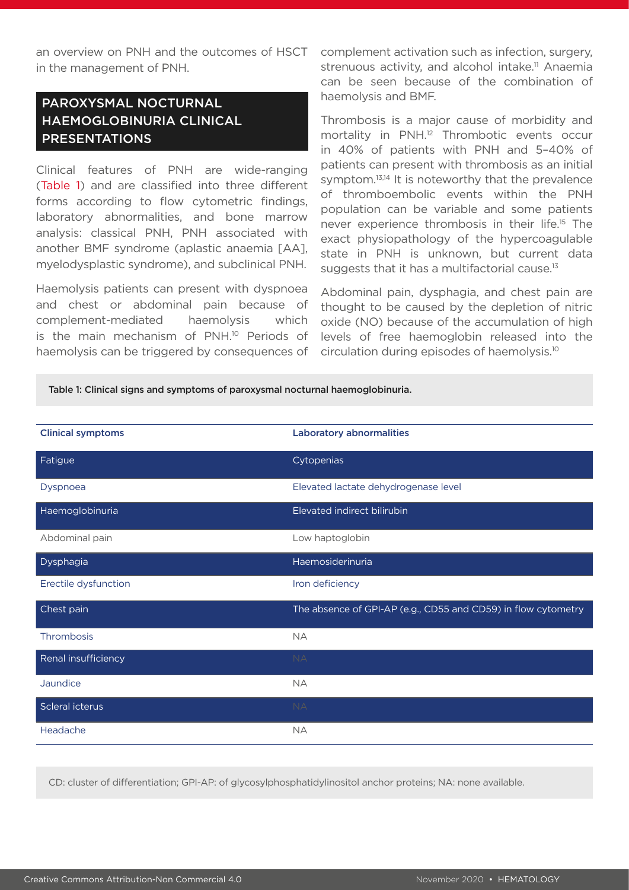in the management of PNH.

# PAROXYSMAL NOCTURNAL HAEMOGLOBINURIA CLINICAL PRESENTATIONS

Clinical features of PNH are wide-ranging (Table 1) and are classified into three different forms according to flow cytometric findings, laboratory abnormalities, and bone marrow analysis: classical PNH, PNH associated with another BMF syndrome (aplastic anaemia [AA], myelodysplastic syndrome), and subclinical PNH.

Haemolysis patients can present with dyspnoea and chest or abdominal pain because of complement-mediated haemolysis which is the main mechanism of PNH.<sup>10</sup> Periods of haemolysis can be triggered by consequences of

an overview on PNH and the outcomes of HSCT complement activation such as infection, surgery, strenuous activity, and alcohol intake.<sup>11</sup> Anaemia can be seen because of the combination of haemolysis and BMF.

> Thrombosis is a major cause of morbidity and mortality in PNH.12 Thrombotic events occur in 40% of patients with PNH and 5–40% of patients can present with thrombosis as an initial symptom.<sup>13,14</sup> It is noteworthy that the prevalence of thromboembolic events within the PNH population can be variable and some patients never experience thrombosis in their life.<sup>15</sup> The exact physiopathology of the hypercoagulable state in PNH is unknown, but current data suggests that it has a multifactorial cause.<sup>13</sup>

> Abdominal pain, dysphagia, and chest pain are thought to be caused by the depletion of nitric oxide (NO) because of the accumulation of high levels of free haemoglobin released into the circulation during episodes of haemolysis.10

Table 1: Clinical signs and symptoms of paroxysmal nocturnal haemoglobinuria.

| <b>Clinical symptoms</b> | <b>Laboratory abnormalities</b>                               |
|--------------------------|---------------------------------------------------------------|
| Fatigue                  | Cytopenias                                                    |
| Dyspnoea                 | Elevated lactate dehydrogenase level                          |
| Haemoglobinuria          | Elevated indirect bilirubin                                   |
| Abdominal pain           | Low haptoglobin                                               |
| Dysphagia                | Haemosiderinuria                                              |
| Erectile dysfunction     | Iron deficiency                                               |
| Chest pain               | The absence of GPI-AP (e.g., CD55 and CD59) in flow cytometry |
| Thrombosis               | <b>NA</b>                                                     |
| Renal insufficiency      | <b>NA</b>                                                     |
| Jaundice                 | <b>NA</b>                                                     |
| Scleral icterus          | <b>NA</b>                                                     |
| Headache                 | <b>NA</b>                                                     |

CD: cluster of differentiation; GPI-AP: of glycosylphosphatidylinositol anchor proteins; NA: none available.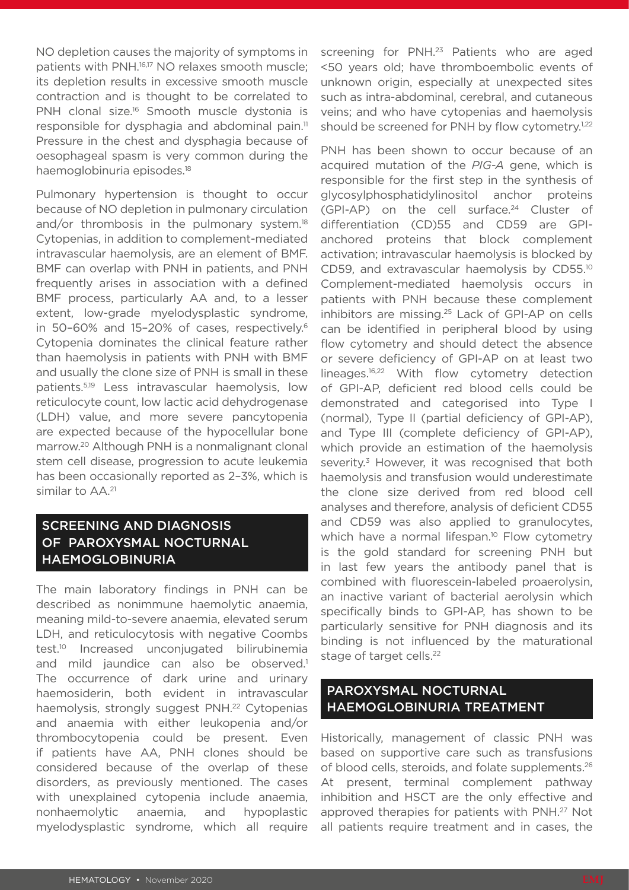NO depletion causes the majority of symptoms in patients with PNH.16,17 NO relaxes smooth muscle; its depletion results in excessive smooth muscle contraction and is thought to be correlated to PNH clonal size.<sup>16</sup> Smooth muscle dystonia is responsible for dysphagia and abdominal pain.<sup>11</sup> Pressure in the chest and dysphagia because of oesophageal spasm is very common during the haemoglobinuria episodes.18

Pulmonary hypertension is thought to occur because of NO depletion in pulmonary circulation and/or thrombosis in the pulmonary system.<sup>18</sup> Cytopenias, in addition to complement-mediated intravascular haemolysis, are an element of BMF. BMF can overlap with PNH in patients, and PNH frequently arises in association with a defined BMF process, particularly AA and, to a lesser extent, low-grade myelodysplastic syndrome, in 50-60% and 15-20% of cases, respectively.<sup>6</sup> Cytopenia dominates the clinical feature rather than haemolysis in patients with PNH with BMF and usually the clone size of PNH is small in these patients.5,19 Less intravascular haemolysis, low reticulocyte count, low lactic acid dehydrogenase (LDH) value, and more severe pancytopenia are expected because of the hypocellular bone marrow.20 Although PNH is a nonmalignant clonal stem cell disease, progression to acute leukemia has been occasionally reported as 2–3%, which is similar to AA.<sup>21</sup>

#### SCREENING AND DIAGNOSIS OF PAROXYSMAL NOCTURNAL HAEMOGLOBINURIA

The main laboratory findings in PNH can be described as nonimmune haemolytic anaemia, meaning mild-to-severe anaemia, elevated serum LDH, and reticulocytosis with negative Coombs test.10 Increased unconjugated bilirubinemia and mild jaundice can also be observed.<sup>1</sup> The occurrence of dark urine and urinary haemosiderin, both evident in intravascular haemolysis, strongly suggest PNH.<sup>22</sup> Cytopenias and anaemia with either leukopenia and/or thrombocytopenia could be present. Even if patients have AA, PNH clones should be considered because of the overlap of these disorders, as previously mentioned. The cases with unexplained cytopenia include anaemia, nonhaemolytic anaemia, and hypoplastic myelodysplastic syndrome, which all require

screening for PNH.<sup>23</sup> Patients who are aged <50 years old; have thromboembolic events of unknown origin, especially at unexpected sites such as intra-abdominal, cerebral, and cutaneous veins; and who have cytopenias and haemolysis should be screened for PNH by flow cytometry.<sup>1,22</sup>

PNH has been shown to occur because of an acquired mutation of the *PIG-A* gene, which is responsible for the first step in the synthesis of glycosylphosphatidylinositol anchor proteins  $(GPI-AP)$  on the cell surface.<sup>24</sup> Cluster of differentiation (CD)55 and CD59 are GPIanchored proteins that block complement activation; intravascular haemolysis is blocked by CD59, and extravascular haemolysis by CD55.10 Complement-mediated haemolysis occurs in patients with PNH because these complement inhibitors are missing.<sup>25</sup> Lack of GPI-AP on cells can be identified in peripheral blood by using flow cytometry and should detect the absence or severe deficiency of GPI-AP on at least two lineages.16,22 With flow cytometry detection of GPI-AP, deficient red blood cells could be demonstrated and categorised into Type I (normal), Type II (partial deficiency of GPI-AP), and Type III (complete deficiency of GPI-AP), which provide an estimation of the haemolysis severity.<sup>3</sup> However, it was recognised that both haemolysis and transfusion would underestimate the clone size derived from red blood cell analyses and therefore, analysis of deficient CD55 and CD59 was also applied to granulocytes, which have a normal lifespan.<sup>10</sup> Flow cytometry is the gold standard for screening PNH but in last few years the antibody panel that is combined with fluorescein-labeled proaerolysin, an inactive variant of bacterial aerolysin which specifically binds to GPI-AP, has shown to be particularly sensitive for PNH diagnosis and its binding is not influenced by the maturational stage of target cells.<sup>22</sup>

#### PAROXYSMAL NOCTURNAL HAEMOGLOBINURIA TREATMENT

Historically, management of classic PNH was based on supportive care such as transfusions of blood cells, steroids, and folate supplements.26 At present, terminal complement pathway inhibition and HSCT are the only effective and approved therapies for patients with PNH.27 Not all patients require treatment and in cases, the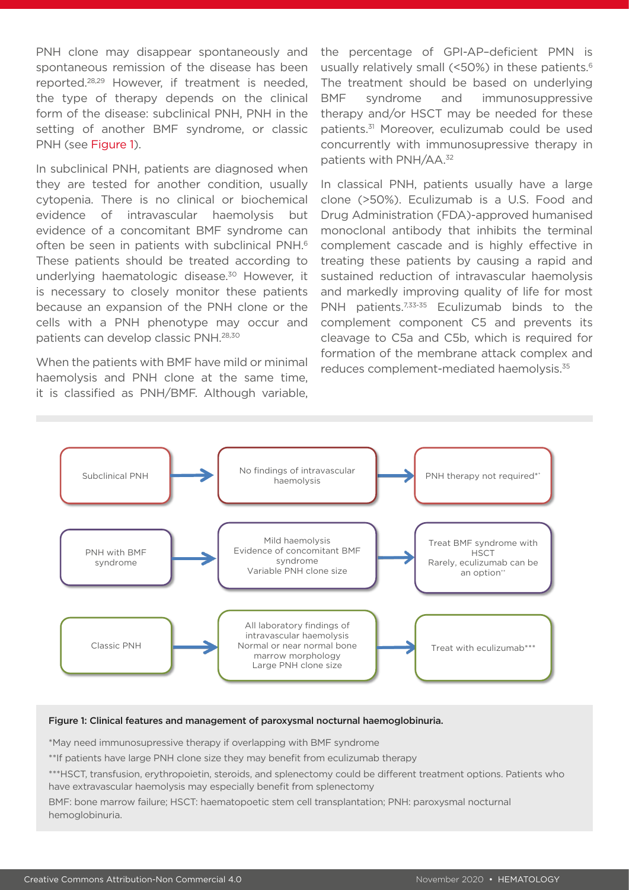PNH clone may disappear spontaneously and spontaneous remission of the disease has been reported.28,29 However, if treatment is needed, the type of therapy depends on the clinical form of the disease: subclinical PNH, PNH in the setting of another BMF syndrome, or classic PNH (see Figure 1).

In subclinical PNH, patients are diagnosed when they are tested for another condition, usually cytopenia. There is no clinical or biochemical evidence of intravascular haemolysis but evidence of a concomitant BMF syndrome can often be seen in patients with subclinical PNH.<sup>6</sup> These patients should be treated according to underlying haematologic disease.<sup>30</sup> However, it is necessary to closely monitor these patients because an expansion of the PNH clone or the cells with a PNH phenotype may occur and patients can develop classic PNH.28,30

When the patients with BMF have mild or minimal haemolysis and PNH clone at the same time, it is classified as PNH/BMF. Although variable,

the percentage of GPI-AP–deficient PMN is usually relatively small (<50%) in these patients.<sup>6</sup> The treatment should be based on underlying BMF syndrome and immunosuppressive therapy and/or HSCT may be needed for these patients.31 Moreover, eculizumab could be used concurrently with immunosupressive therapy in patients with PNH/AA.32

In classical PNH, patients usually have a large clone (>50%). Eculizumab is a U.S. Food and Drug Administration (FDA)-approved humanised monoclonal antibody that inhibits the terminal complement cascade and is highly effective in treating these patients by causing a rapid and sustained reduction of intravascular haemolysis and markedly improving quality of life for most PNH patients.<sup>7,33-35</sup> Eculizumab binds to the complement component C5 and prevents its cleavage to C5a and C5b, which is required for formation of the membrane attack complex and reduces complement-mediated haemolysis.35



#### Figure 1: Clinical features and management of paroxysmal nocturnal haemoglobinuria.

\*May need immunosupressive therapy if overlapping with BMF syndrome

\*\*If patients have large PNH clone size they may benefit from eculizumab therapy

\*\*\*HSCT, transfusion, erythropoietin, steroids, and splenectomy could be different treatment options. Patients who have extravascular haemolysis may especially benefit from splenectomy

BMF: bone marrow failure; HSCT: haematopoetic stem cell transplantation; PNH: paroxysmal nocturnal hemoglobinuria.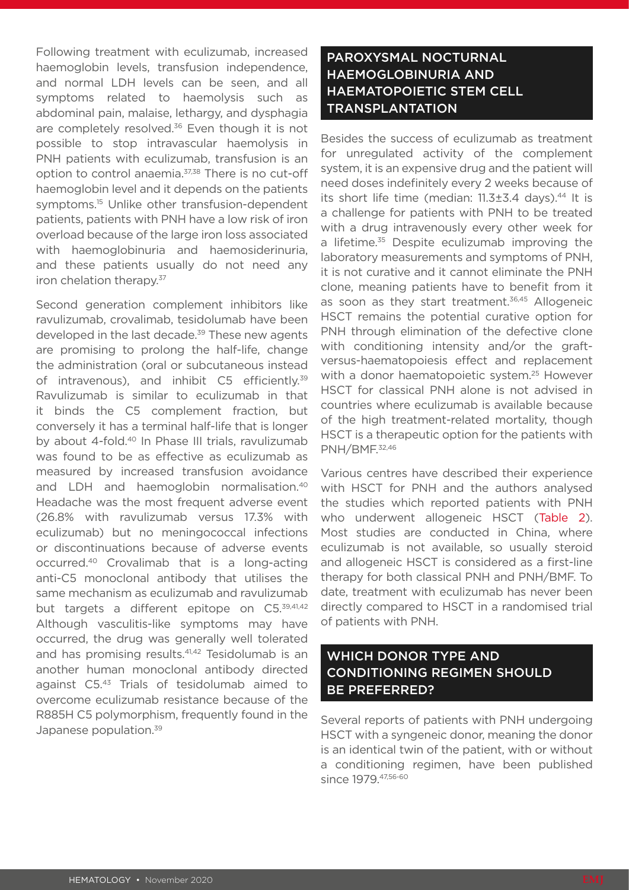Following treatment with eculizumab, increased haemoglobin levels, transfusion independence, and normal LDH levels can be seen, and all symptoms related to haemolysis such as abdominal pain, malaise, lethargy, and dysphagia are completely resolved.<sup>36</sup> Even though it is not possible to stop intravascular haemolysis in PNH patients with eculizumab, transfusion is an option to control anaemia.<sup>37,38</sup> There is no cut-off haemoglobin level and it depends on the patients symptoms.15 Unlike other transfusion-dependent patients, patients with PNH have a low risk of iron overload because of the large iron loss associated with haemoglobinuria and haemosiderinuria, and these patients usually do not need any iron chelation therapy.<sup>37</sup>

Second generation complement inhibitors like ravulizumab, crovalimab, tesidolumab have been developed in the last decade.<sup>39</sup> These new agents are promising to prolong the half-life, change the administration (oral or subcutaneous instead of intravenous), and inhibit C5 efficiently.<sup>39</sup> Ravulizumab is similar to eculizumab in that it binds the C5 complement fraction, but conversely it has a terminal half-life that is longer by about 4-fold.40 In Phase III trials, ravulizumab was found to be as effective as eculizumab as measured by increased transfusion avoidance and LDH and haemoglobin normalisation.40 Headache was the most frequent adverse event (26.8% with ravulizumab versus 17.3% with eculizumab) but no meningococcal infections or discontinuations because of adverse events occurred.40 Crovalimab that is a long-acting anti-C5 monoclonal antibody that utilises the same mechanism as eculizumab and ravulizumab but targets a different epitope on C5.<sup>39,41,42</sup> Although vasculitis-like symptoms may have occurred, the drug was generally well tolerated and has promising results.<sup>41,42</sup> Tesidolumab is an another human monoclonal antibody directed against C5.43 Trials of tesidolumab aimed to overcome eculizumab resistance because of the R885H C5 polymorphism, frequently found in the Japanese population.<sup>39</sup>

#### PAROXYSMAL NOCTURNAL HAEMOGLOBINURIA AND HAEMATOPOIETIC STEM CELL **TRANSPLANTATION**

Besides the success of eculizumab as treatment for unregulated activity of the complement system, it is an expensive drug and the patient will need doses indefinitely every 2 weeks because of its short life time (median:  $11.3\pm3.4$  days).<sup>44</sup> It is a challenge for patients with PNH to be treated with a drug intravenously every other week for a lifetime.<sup>35</sup> Despite eculizumab improving the laboratory measurements and symptoms of PNH, it is not curative and it cannot eliminate the PNH clone, meaning patients have to benefit from it as soon as they start treatment.<sup>36,45</sup> Allogeneic HSCT remains the potential curative option for PNH through elimination of the defective clone with conditioning intensity and/or the graftversus-haematopoiesis effect and replacement with a donor haematopoietic system. 25 However HSCT for classical PNH alone is not advised in countries where eculizumab is available because of the high treatment-related mortality, though HSCT is a therapeutic option for the patients with PNH/BMF.32,46

Various centres have described their experience with HSCT for PNH and the authors analysed the studies which reported patients with PNH who underwent allogeneic HSCT (Table 2). Most studies are conducted in China, where eculizumab is not available, so usually steroid and allogeneic HSCT is considered as a first-line therapy for both classical PNH and PNH/BMF. To date, treatment with eculizumab has never been directly compared to HSCT in a randomised trial of patients with PNH.

#### WHICH DONOR TYPE AND CONDITIONING REGIMEN SHOULD BE PREFERRED?

Several reports of patients with PNH undergoing HSCT with a syngeneic donor, meaning the donor is an identical twin of the patient, with or without a conditioning regimen, have been published since 1979. 47,56-60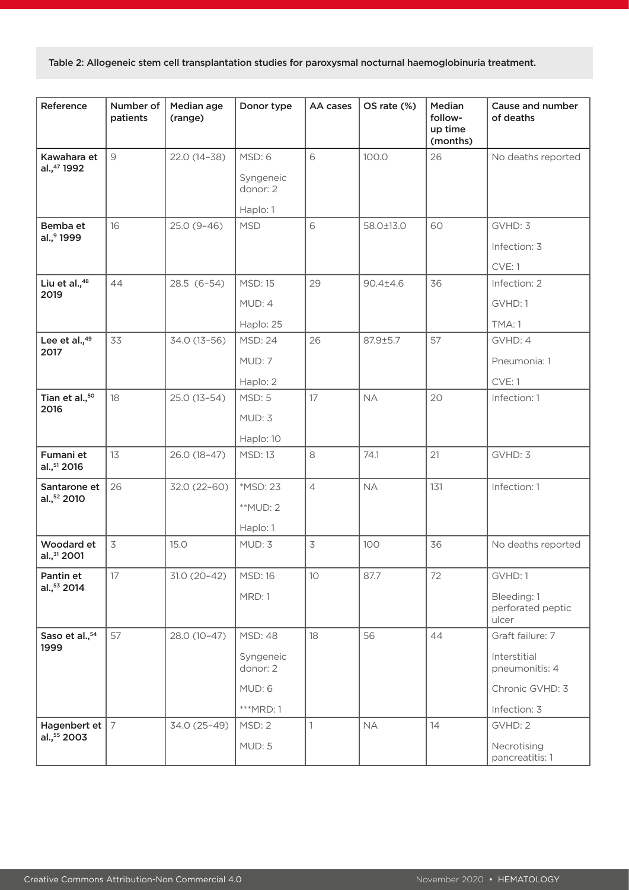Table 2: Allogeneic stem cell transplantation studies for paroxysmal nocturnal haemoglobinuria treatment.

| Reference                               | Number of<br>patients | Median age<br>(range) | Donor type                                                      | AA cases                 | OS rate (%)    | Median<br>follow-<br>up time<br>(months) | Cause and number<br>of deaths                                                         |
|-----------------------------------------|-----------------------|-----------------------|-----------------------------------------------------------------|--------------------------|----------------|------------------------------------------|---------------------------------------------------------------------------------------|
| Kawahara et<br>al.,47 1992              | $\mathcal{Q}$         | 22.0 (14-38)          | MSD: 6<br>Syngeneic<br>donor: 2<br>Haplo: 1                     | 6                        | 100.0          | 26                                       | No deaths reported                                                                    |
| Bemba et<br>al.,9 1999                  | 16                    | $25.0(9-46)$          | <b>MSD</b>                                                      | 6                        | 58.0±13.0      | 60                                       | GVHD: 3<br>Infection: 3<br>CVE: 1                                                     |
| Liu et al., <sup>48</sup><br>2019       | 44                    | 28.5 (6-54)           | <b>MSD: 15</b><br>MUD: 4<br>Haplo: 25                           | 29                       | $90.4 \pm 4.6$ | 36                                       | Infection: 2<br>GVHD: 1<br>TMA: 1                                                     |
| Lee et al., <sup>49</sup><br>2017       | 33                    | 34.0 (13-56)          | <b>MSD: 24</b><br>MUD: 7<br>Haplo: 2                            | 26                       | 87.9±5.7       | 57                                       | GVHD: 4<br>Pneumonia: 1<br>CVE: 1                                                     |
| Tian et al., <sup>50</sup><br>2016      | 18                    | 25.0 (13-54)          | MSD: 5<br>MUD: 3<br>Haplo: 10                                   | 17                       | <b>NA</b>      | 20                                       | Infection: 1                                                                          |
| Fumani et<br>al., <sup>51</sup> 2016    | 13                    | 26.0 (18-47)          | <b>MSD: 13</b>                                                  | 8                        | 74.1           | 21                                       | GVHD: 3                                                                               |
| Santarone et<br>al., <sup>52</sup> 2010 | 26                    | 32.0 (22-60)          | *MSD: 23<br>**MUD: 2<br>Haplo: 1                                | $\overline{4}$           | <b>NA</b>      | 131                                      | Infection: 1                                                                          |
| Woodard et<br>al., 31 2001              | 3                     | 15.0                  | MUD: 3                                                          | $\overline{\mathcal{S}}$ | 100            | 36                                       | No deaths reported                                                                    |
| Pantin et<br>al., 53 2014               | 17                    | $31.0(20-42)$         | <b>MSD: 16</b><br>MRD: 1                                        | 10                       | 87.7           | 72                                       | GVHD: 1<br>Bleeding: 1<br>perforated peptic<br>ulcer                                  |
| Saso et al., <sup>54</sup><br>1999      | 57                    | 28.0 (10-47)          | <b>MSD: 48</b><br>Syngeneic<br>donor: 2<br>MUD: 6<br>$***MRD:1$ | 18                       | 56             | 44                                       | Graft failure: 7<br>Interstitial<br>pneumonitis: 4<br>Chronic GVHD: 3<br>Infection: 3 |
| Hagenbert et $ 7 $<br>al., 55 2003      |                       | 34.0 (25-49)          | MSD: 2<br>MUD: 5                                                | 1                        | <b>NA</b>      | 14                                       | GVHD: 2<br>Necrotising<br>pancreatitis: 1                                             |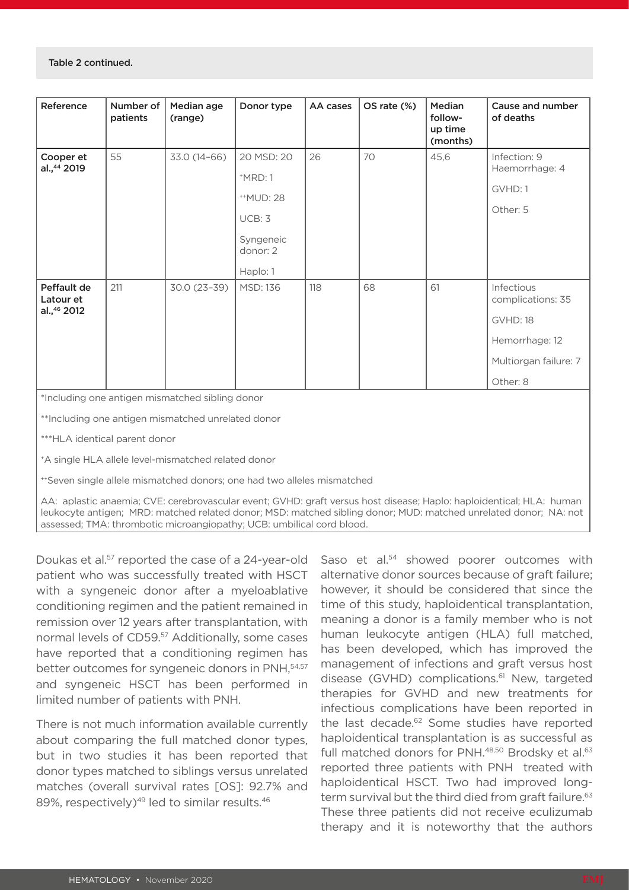| Reference                                           | Number of<br>patients | Median age<br>(range) | Donor type                                                                                        | AA cases | OS rate (%) | Median<br>follow-<br>up time<br>(months) | Cause and number<br>of deaths                                                                             |  |
|-----------------------------------------------------|-----------------------|-----------------------|---------------------------------------------------------------------------------------------------|----------|-------------|------------------------------------------|-----------------------------------------------------------------------------------------------------------|--|
| Cooper et<br>al., 44 2019                           | 55                    | 33.0 (14-66)          | 20 MSD: 20<br>$^+$ MRD: 1<br><sup>++</sup> MUD: 28<br>UCB: 3<br>Syngeneic<br>donor: 2<br>Haplo: 1 | 26       | 70          | 45,6                                     | Infection: 9<br>Haemorrhage: 4<br>GVHD: 1<br>Other: 5                                                     |  |
| Peffault de<br>Latour et<br>al., <sup>46</sup> 2012 | 211                   | 30.0 (23-39)          | <b>MSD: 136</b>                                                                                   | 118      | 68          | 61                                       | Infectious<br>complications: 35<br><b>GVHD: 18</b><br>Hemorrhage: 12<br>Multiorgan failure: 7<br>Other: 8 |  |
| *Including one antigen mismatched sibling donor     |                       |                       |                                                                                                   |          |             |                                          |                                                                                                           |  |
| **Including one antigen mismatched unrelated donor  |                       |                       |                                                                                                   |          |             |                                          |                                                                                                           |  |

\*\*\*HLA identical parent donor

+A single HLA allele level-mismatched related donor

++Seven single allele mismatched donors; one had two alleles mismatched

AA: aplastic anaemia; CVE: cerebrovascular event; GVHD: graft versus host disease; Haplo: haploidentical; HLA: human leukocyte antigen; MRD: matched related donor; MSD: matched sibling donor; MUD: matched unrelated donor; NA: not assessed; TMA: thrombotic microangiopathy; UCB: umbilical cord blood.

Doukas et al.57 reported the case of a 24-year-old patient who was successfully treated with HSCT with a syngeneic donor after a myeloablative conditioning regimen and the patient remained in remission over 12 years after transplantation, with normal levels of CD59.<sup>57</sup> Additionally, some cases have reported that a conditioning regimen has better outcomes for syngeneic donors in PNH, 54,57 and syngeneic HSCT has been performed in limited number of patients with PNH.

There is not much information available currently about comparing the full matched donor types, but in two studies it has been reported that donor types matched to siblings versus unrelated matches (overall survival rates [OS]: 92.7% and 89%, respectively)<sup>49</sup> led to similar results.<sup>46</sup>

Saso et al.<sup>54</sup> showed poorer outcomes with alternative donor sources because of graft failure; however, it should be considered that since the time of this study, haploidentical transplantation, meaning a donor is a family member who is not human leukocyte antigen (HLA) full matched, has been developed, which has improved the management of infections and graft versus host disease (GVHD) complications.<sup>61</sup> New, targeted therapies for GVHD and new treatments for infectious complications have been reported in the last decade.<sup>62</sup> Some studies have reported haploidentical transplantation is as successful as full matched donors for PNH.<sup>48,50</sup> Brodsky et al.<sup>63</sup> reported three patients with PNH treated with haploidentical HSCT. Two had improved longterm survival but the third died from graft failure.<sup>63</sup> These three patients did not receive eculizumab therapy and it is noteworthy that the authors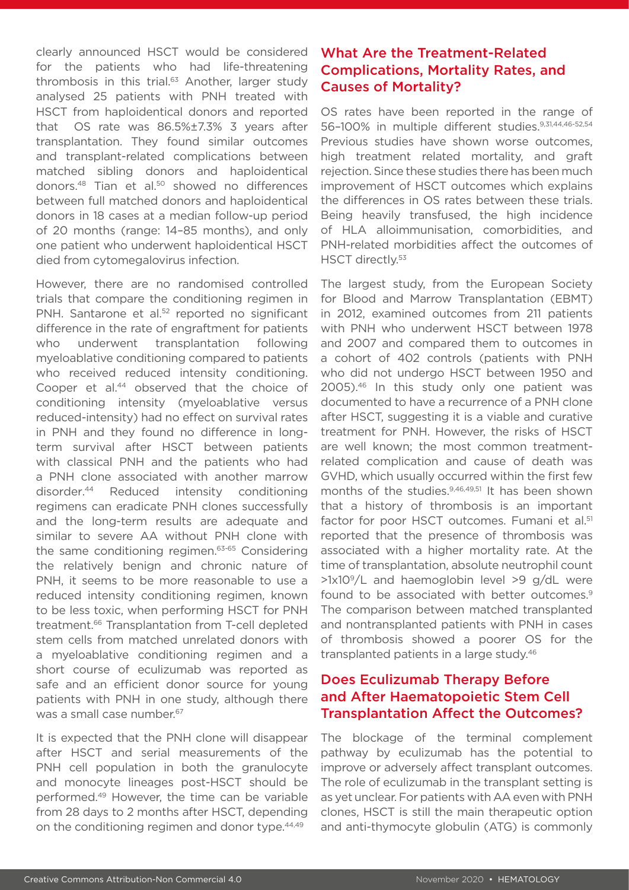clearly announced HSCT would be considered for the patients who had life-threatening thrombosis in this trial.<sup>63</sup> Another, larger study analysed 25 patients with PNH treated with HSCT from haploidentical donors and reported that OS rate was 86.5%±7.3% 3 years after transplantation. They found similar outcomes and transplant-related complications between matched sibling donors and haploidentical donors.<sup>48</sup> Tian et al.<sup>50</sup> showed no differences between full matched donors and haploidentical donors in 18 cases at a median follow-up period of 20 months (range: 14–85 months), and only one patient who underwent haploidentical HSCT died from cytomegalovirus infection.

However, there are no randomised controlled trials that compare the conditioning regimen in PNH. Santarone et al.<sup>52</sup> reported no significant difference in the rate of engraftment for patients who underwent transplantation following myeloablative conditioning compared to patients who received reduced intensity conditioning. Cooper et al.<sup>44</sup> observed that the choice of conditioning intensity (myeloablative versus reduced-intensity) had no effect on survival rates in PNH and they found no difference in longterm survival after HSCT between patients with classical PNH and the patients who had a PNH clone associated with another marrow disorder.44 Reduced intensity conditioning regimens can eradicate PNH clones successfully and the long-term results are adequate and similar to severe AA without PNH clone with the same conditioning regimen.63-65 Considering the relatively benign and chronic nature of PNH, it seems to be more reasonable to use a reduced intensity conditioning regimen, known to be less toxic, when performing HSCT for PNH treatment.66 Transplantation from T-cell depleted stem cells from matched unrelated donors with a myeloablative conditioning regimen and a short course of eculizumab was reported as safe and an efficient donor source for young patients with PNH in one study, although there was a small case number.<sup>67</sup>

It is expected that the PNH clone will disappear after HSCT and serial measurements of the PNH cell population in both the granulocyte and monocyte lineages post-HSCT should be performed.49 However, the time can be variable from 28 days to 2 months after HSCT, depending on the conditioning regimen and donor type.44,49

### What Are the Treatment-Related Complications, Mortality Rates, and Causes of Mortality?

OS rates have been reported in the range of 56–100% in multiple different studies.9,31,44,46-52,54 Previous studies have shown worse outcomes, high treatment related mortality, and graft rejection. Since these studies there has been much improvement of HSCT outcomes which explains the differences in OS rates between these trials. Being heavily transfused, the high incidence of HLA alloimmunisation, comorbidities, and PNH-related morbidities affect the outcomes of HSCT directly.<sup>53</sup>

The largest study, from the European Society for Blood and Marrow Transplantation (EBMT) in 2012, examined outcomes from 211 patients with PNH who underwent HSCT between 1978 and 2007 and compared them to outcomes in a cohort of 402 controls (patients with PNH who did not undergo HSCT between 1950 and 2005).46 In this study only one patient was documented to have a recurrence of a PNH clone after HSCT, suggesting it is a viable and curative treatment for PNH. However, the risks of HSCT are well known; the most common treatmentrelated complication and cause of death was GVHD, which usually occurred within the first few months of the studies.<sup>9,46,49,51</sup> It has been shown that a history of thrombosis is an important factor for poor HSCT outcomes. Fumani et al.<sup>51</sup> reported that the presence of thrombosis was associated with a higher mortality rate. At the time of transplantation, absolute neutrophil count  $>1x10<sup>9</sup>/L$  and haemoglobin level  $>9$  g/dL were found to be associated with better outcomes.<sup>9</sup> The comparison between matched transplanted and nontransplanted patients with PNH in cases of thrombosis showed a poorer OS for the transplanted patients in a large study.<sup>46</sup>

#### Does Eculizumab Therapy Before and After Haematopoietic Stem Cell Transplantation Affect the Outcomes?

The blockage of the terminal complement pathway by eculizumab has the potential to improve or adversely affect transplant outcomes. The role of eculizumab in the transplant setting is as yet unclear. For patients with AA even with PNH clones, HSCT is still the main therapeutic option and anti-thymocyte globulin (ATG) is commonly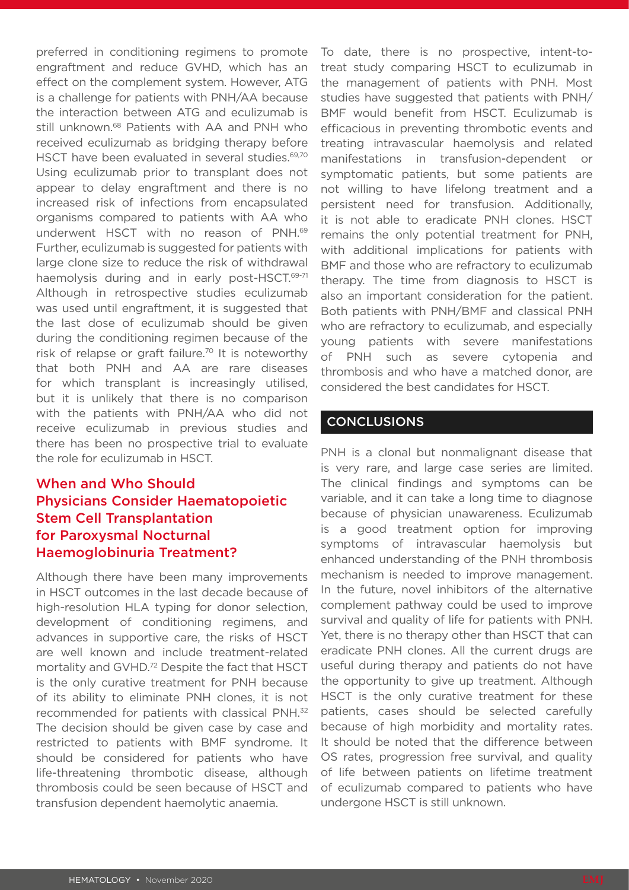preferred in conditioning regimens to promote engraftment and reduce GVHD, which has an effect on the complement system. However, ATG is a challenge for patients with PNH/AA because the interaction between ATG and eculizumab is still unknown.<sup>68</sup> Patients with AA and PNH who received eculizumab as bridging therapy before HSCT have been evaluated in several studies.<sup>69,70</sup> Using eculizumab prior to transplant does not appear to delay engraftment and there is no increased risk of infections from encapsulated organisms compared to patients with AA who underwent HSCT with no reason of PNH.69 Further, eculizumab is suggested for patients with large clone size to reduce the risk of withdrawal haemolysis during and in early post-HSCT.<sup>69-71</sup> Although in retrospective studies eculizumab was used until engraftment, it is suggested that the last dose of eculizumab should be given during the conditioning regimen because of the risk of relapse or graft failure.<sup>70</sup> It is noteworthy that both PNH and AA are rare diseases for which transplant is increasingly utilised, but it is unlikely that there is no comparison with the patients with PNH/AA who did not receive eculizumab in previous studies and there has been no prospective trial to evaluate the role for eculizumab in HSCT.

## When and Who Should Physicians Consider Haematopoietic Stem Cell Transplantation for Paroxysmal Nocturnal Haemoglobinuria Treatment?

Although there have been many improvements in HSCT outcomes in the last decade because of high-resolution HLA typing for donor selection, development of conditioning regimens, and advances in supportive care, the risks of HSCT are well known and include treatment-related mortality and GVHD.<sup>72</sup> Despite the fact that HSCT is the only curative treatment for PNH because of its ability to eliminate PNH clones, it is not recommended for patients with classical PNH.32 The decision should be given case by case and restricted to patients with BMF syndrome. It should be considered for patients who have life-threatening thrombotic disease, although thrombosis could be seen because of HSCT and transfusion dependent haemolytic anaemia.

To date, there is no prospective, intent-totreat study comparing HSCT to eculizumab in the management of patients with PNH. Most studies have suggested that patients with PNH/ BMF would benefit from HSCT. Eculizumab is efficacious in preventing thrombotic events and treating intravascular haemolysis and related manifestations in transfusion-dependent or symptomatic patients, but some patients are not willing to have lifelong treatment and a persistent need for transfusion. Additionally, it is not able to eradicate PNH clones. HSCT remains the only potential treatment for PNH, with additional implications for patients with BMF and those who are refractory to eculizumab therapy. The time from diagnosis to HSCT is also an important consideration for the patient. Both patients with PNH/BMF and classical PNH who are refractory to eculizumab, and especially young patients with severe manifestations of PNH such as severe cytopenia and thrombosis and who have a matched donor, are considered the best candidates for HSCT.

#### CONCLUSIONS

PNH is a clonal but nonmalignant disease that is very rare, and large case series are limited. The clinical findings and symptoms can be variable, and it can take a long time to diagnose because of physician unawareness. Eculizumab is a good treatment option for improving symptoms of intravascular haemolysis but enhanced understanding of the PNH thrombosis mechanism is needed to improve management. In the future, novel inhibitors of the alternative complement pathway could be used to improve survival and quality of life for patients with PNH. Yet, there is no therapy other than HSCT that can eradicate PNH clones. All the current drugs are useful during therapy and patients do not have the opportunity to give up treatment. Although HSCT is the only curative treatment for these patients, cases should be selected carefully because of high morbidity and mortality rates. It should be noted that the difference between OS rates, progression free survival, and quality of life between patients on lifetime treatment of eculizumab compared to patients who have undergone HSCT is still unknown.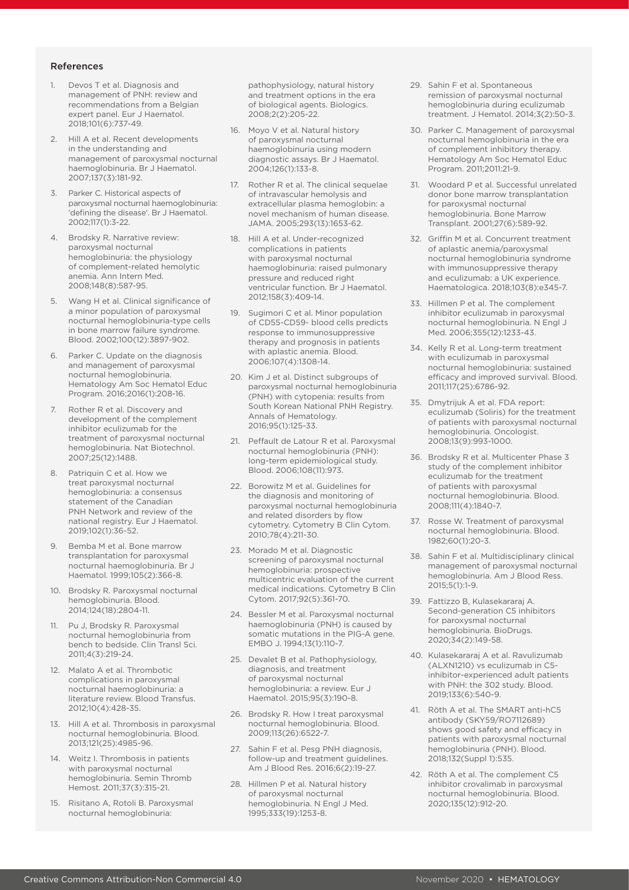#### References

- 1. Devos T et al. Diagnosis and management of PNH: review and recommendations from a Belgian expert panel. Eur J Haematol. 2018;101(6):737-49.
- Hill A et al. Recent developments in the understanding and management of paroxysmal nocturnal haemoglobinuria. Br J Haematol. 2007;137(3):181-92.
- 3. Parker C. Historical aspects of paroxysmal nocturnal haemoglobinuria: 'defining the disease'. Br J Haematol. 2002;117(1):3-22.
- 4. Brodsky R. Narrative review: paroxysmal nocturnal hemoglobinuria: the physiology of complement-related hemolytic anemia. Ann Intern Med. 2008;148(8):587-95.
- 5. Wang H et al. Clinical significance of a minor population of paroxysmal nocturnal hemoglobinuria-type cells in bone marrow failure syndrome. Blood. 2002;100(12):3897-902.
- Parker C. Update on the diagnosis and management of paroxysmal nocturnal hemoglobinuria. Hematology Am Soc Hematol Educ Program. 2016;2016(1):208-16.
- 7. Rother R et al. Discovery and development of the complement inhibitor eculizumab for the treatment of paroxysmal nocturnal hemoglobinuria. Nat Biotechnol. 2007;25(12):1488.
- 8. Patriquin C et al. How we treat paroxysmal nocturnal hemoglobinuria: a consensus statement of the Canadian PNH Network and review of the national registry. Eur J Haematol. 2019;102(1):36-52.
- 9. Bemba M et al. Bone marrow transplantation for paroxysmal nocturnal haemoglobinuria. Br J Haematol. 1999;105(2):366-8.
- 10. Brodsky R. Paroxysmal nocturnal hemoglobinuria. Blood. 2014;124(18):2804-11.
- Pu J, Brodsky R. Paroxysmal nocturnal hemoglobinuria from bench to bedside. Clin Transl Sci. 2011;4(3):219-24.
- 12. Malato A et al. Thrombotic complications in paroxysmal nocturnal haemoglobinuria: a literature review. Blood Transfus. 2012;10(4):428-35.
- 13. Hill A et al. Thrombosis in paroxysmal nocturnal hemoglobinuria. Blood. 2013;121(25):4985-96.
- 14. Weitz I. Thrombosis in patients with paroxysmal nocturnal hemoglobinuria. Semin Thromb Hemost. 2011;37(3):315-21.
- 15. Risitano A, Rotoli B. Paroxysmal nocturnal hemoglobinuria:

pathophysiology, natural history and treatment options in the era of biological agents. Biologics. 2008;2(2):205-22.

- 16. Moyo V et al. Natural history of paroxysmal nocturnal haemoglobinuria using modern diagnostic assays. Br J Haematol. 2004;126(1):133-8.
- 17. Rother R et al. The clinical sequelae of intravascular hemolysis and extracellular plasma hemoglobin: a novel mechanism of human disease. JAMA. 2005;293(13):1653-62.
- 18. Hill A et al. Under-recognized complications in patients with paroxysmal nocturnal haemoglobinuria: raised pulmonary pressure and reduced right ventricular function. Br J Haematol. 2012;158(3):409-14.
- 19. Sugimori C et al. Minor population of CD55-CD59- blood cells predicts response to immunosuppressive therapy and prognosis in patients with aplastic anemia. Blood. 2006;107(4):1308-14.
- 20. Kim J et al. Distinct subgroups of paroxysmal nocturnal hemoglobinuria (PNH) with cytopenia: results from South Korean National PNH Registry. Annals of Hematology. 2016;95(1):125-33.
- 21. Peffault de Latour R et al. Paroxysmal nocturnal hemoglobinuria (PNH): long-term epidemiological study. Blood. 2006;108(11):973.
- 22. Borowitz M et al. Guidelines for the diagnosis and monitoring of paroxysmal nocturnal hemoglobinuria and related disorders by flow cytometry. Cytometry B Clin Cytom. 2010;78(4):211-30.
- 23. Morado M et al. Diagnostic screening of paroxysmal nocturnal hemoglobinuria: prospective multicentric evaluation of the current medical indications. Cytometry B Clin Cytom. 2017;92(5):361-70.
- 24. Bessler M et al. Paroxysmal nocturnal haemoglobinuria (PNH) is caused by somatic mutations in the PIG-A gene. EMBO J. 1994;13(1):110-7.
- 25. Devalet B et al. Pathophysiology, diagnosis, and treatment of paroxysmal nocturnal hemoglobinuria: a review. Eur J Haematol. 2015;95(3):190-8.
- 26. Brodsky R. How I treat paroxysmal nocturnal hemoglobinuria. Blood. 2009;113(26):6522-7.
- 27. Sahin F et al. Pesg PNH diagnosis, follow-up and treatment guidelines. Am J Blood Res. 2016;6(2):19-27.
- 28. Hillmen P et al. Natural history of paroxysmal nocturnal hemoglobinuria. N Engl J Med. 1995;333(19):1253-8.
- 29. Sahin F et al. Spontaneous remission of paroxysmal nocturnal hemoglobinuria during eculizumab treatment. J Hematol. 2014;3(2):50-3.
- 30. Parker C. Management of paroxysmal nocturnal hemoglobinuria in the era of complement inhibitory therapy. Hematology Am Soc Hematol Educ Program. 2011;2011:21-9.
- 31. Woodard P et al. Successful unrelated donor bone marrow transplantation for paroxysmal nocturnal hemoglobinuria. Bone Marrow Transplant. 2001;27(6):589-92.
- 32. Griffin M et al. Concurrent treatment of aplastic anemia/paroxysmal nocturnal hemoglobinuria syndrome with immunosuppressive therapy and eculizumab: a UK experience. Haematologica. 2018;103(8):e345-7.
- 33. Hillmen P et al. The complement inhibitor eculizumab in paroxysmal nocturnal hemoglobinuria. N Engl J Med. 2006;355(12):1233-43.
- 34. Kelly R et al. Long-term treatment with eculizumab in paroxysmal nocturnal hemoglobinuria: sustained efficacy and improved survival. Blood. 2011;117(25):6786-92.
- 35. Dmytrijuk A et al. FDA report: eculizumab (Soliris) for the treatment of patients with paroxysmal nocturnal hemoglobinuria. Oncologist. 2008;13(9):993-1000.
- 36. Brodsky R et al. Multicenter Phase 3 study of the complement inhibitor eculizumab for the treatment of patients with paroxysmal nocturnal hemoglobinuria. Blood. 2008;111(4):1840-7.
- 37. Rosse W. Treatment of paroxysmal nocturnal hemoglobinuria. Blood. 1982;60(1):20-3.
- 38. Sahin F et al. Multidisciplinary clinical management of paroxysmal nocturnal hemoglobinuria. Am J Blood Ress. 2015;5(1):1-9.
- 39. Fattizzo B, Kulasekararaj A. Second-generation C5 inhibitors for paroxysmal nocturnal hemoglobinuria. BioDrugs. 2020;34(2):149-58.
- 40. Kulasekararaj A et al. Ravulizumab (ALXN1210) vs eculizumab in C5 inhibitor-experienced adult patients with PNH: the 302 study. Blood. 2019;133(6):540-9.
- 41. Röth A et al. The SMART anti-hC5 antibody (SKY59/RO7112689) shows good safety and efficacy in patients with paroxysmal nocturnal hemoglobinuria (PNH). Blood. 2018;132(Suppl 1):535.
- 42. Röth A et al. The complement C5 inhibitor crovalimab in paroxysmal nocturnal hemoglobinuria. Blood. 2020;135(12):912-20.